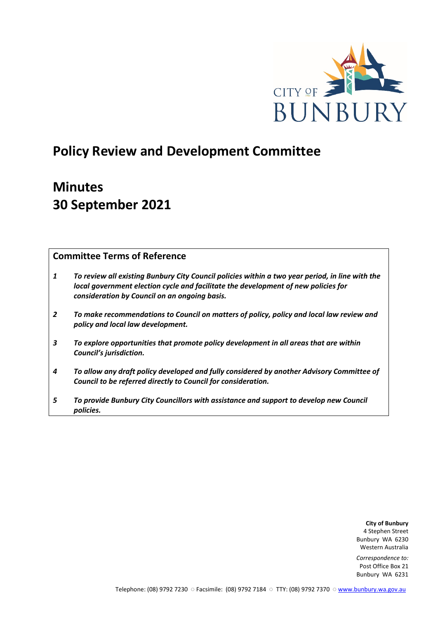

# **Policy Review and Development Committee**

# **Minutes 30 September 2021**

## **Committee Terms of Reference**

- *1 To review all existing Bunbury City Council policies within a two year period, in line with the local government election cycle and facilitate the development of new policies for consideration by Council on an ongoing basis.*
- *2 To make recommendations to Council on matters of policy, policy and local law review and policy and local law development.*
- *3 To explore opportunities that promote policy development in all areas that are within Council's jurisdiction.*
- *4 To allow any draft policy developed and fully considered by another Advisory Committee of Council to be referred directly to Council for consideration.*
- *5 To provide Bunbury City Councillors with assistance and support to develop new Council policies.*

**City of Bunbury** 4 Stephen Street Bunbury WA 6230 Western Australia

*Correspondence to:* Post Office Box 21 Bunbury WA 6231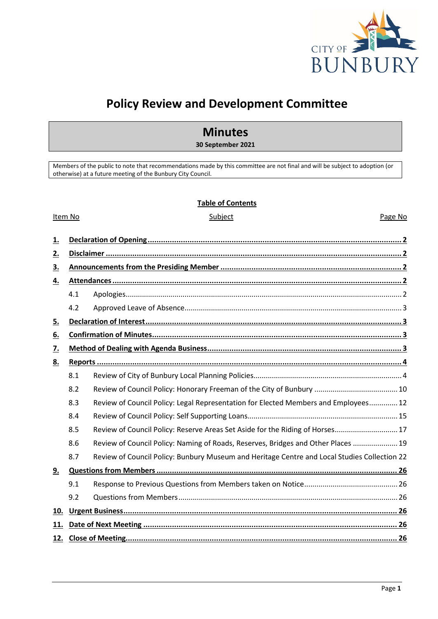

# **Policy Review and Development Committee**

## **Minutes**

**30 September 2021**

Members of the public to note that recommendations made by this committee are not final and will be subject to adoption (or otherwise) at a future meeting of the Bunbury City Council.

#### **Table of Contents**

#### Item No **Subject** Subject **Page No. 2016**

| <u>1.</u> |     |                                                                                              |  |  |  |
|-----------|-----|----------------------------------------------------------------------------------------------|--|--|--|
| <u>2.</u> |     |                                                                                              |  |  |  |
| <u>3.</u> |     |                                                                                              |  |  |  |
| <u>4.</u> |     |                                                                                              |  |  |  |
|           | 4.1 |                                                                                              |  |  |  |
|           | 4.2 |                                                                                              |  |  |  |
| <u>5.</u> |     |                                                                                              |  |  |  |
| <u>6.</u> |     |                                                                                              |  |  |  |
| <u>7.</u> |     |                                                                                              |  |  |  |
| <u>8.</u> |     |                                                                                              |  |  |  |
|           | 8.1 |                                                                                              |  |  |  |
|           | 8.2 |                                                                                              |  |  |  |
|           | 8.3 | Review of Council Policy: Legal Representation for Elected Members and Employees 12          |  |  |  |
|           | 8.4 |                                                                                              |  |  |  |
|           | 8.5 | Review of Council Policy: Reserve Areas Set Aside for the Riding of Horses 17                |  |  |  |
|           | 8.6 | Review of Council Policy: Naming of Roads, Reserves, Bridges and Other Places  19            |  |  |  |
|           | 8.7 | Review of Council Policy: Bunbury Museum and Heritage Centre and Local Studies Collection 22 |  |  |  |
| 9.        |     |                                                                                              |  |  |  |
|           | 9.1 |                                                                                              |  |  |  |
|           | 9.2 |                                                                                              |  |  |  |
| 10.       |     |                                                                                              |  |  |  |
| 11.       |     |                                                                                              |  |  |  |
|           |     |                                                                                              |  |  |  |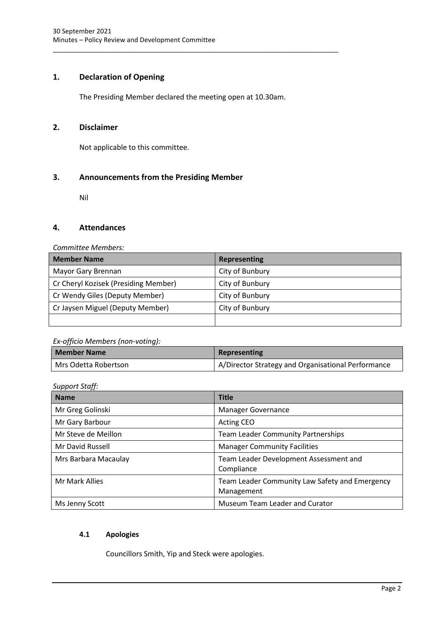## <span id="page-2-0"></span>**1. Declaration of Opening**

The Presiding Member declared the meeting open at 10.30am.

\_\_\_\_\_\_\_\_\_\_\_\_\_\_\_\_\_\_\_\_\_\_\_\_\_\_\_\_\_\_\_\_\_\_\_\_\_\_\_\_\_\_\_\_\_\_\_\_\_\_\_\_\_\_\_\_\_\_\_\_\_\_\_\_\_\_\_\_\_\_\_\_\_\_\_\_\_\_

### <span id="page-2-1"></span>**2. Disclaimer**

Not applicable to this committee.

## <span id="page-2-2"></span>**3. Announcements from the Presiding Member**

Nil

#### <span id="page-2-3"></span>**4. Attendances**

#### *Committee Members:*

| <b>Member Name</b>                   | <b>Representing</b> |
|--------------------------------------|---------------------|
| Mayor Gary Brennan                   | City of Bunbury     |
| Cr Cheryl Kozisek (Presiding Member) | City of Bunbury     |
| Cr Wendy Giles (Deputy Member)       | City of Bunbury     |
| Cr Jaysen Miguel (Deputy Member)     | City of Bunbury     |
|                                      |                     |

#### *Ex-officio Members (non-voting):*

| <b>Member Name</b>   | <b>Representing</b>                                |  |  |
|----------------------|----------------------------------------------------|--|--|
| Mrs Odetta Robertson | A/Director Strategy and Organisational Performance |  |  |

*Support Staff:*

| <b>Name</b>          | <b>Title</b>                                                 |  |  |
|----------------------|--------------------------------------------------------------|--|--|
| Mr Greg Golinski     | <b>Manager Governance</b>                                    |  |  |
| Mr Gary Barbour      | Acting CEO                                                   |  |  |
| Mr Steve de Meillon  | <b>Team Leader Community Partnerships</b>                    |  |  |
| Mr David Russell     | <b>Manager Community Facilities</b>                          |  |  |
| Mrs Barbara Macaulay | Team Leader Development Assessment and<br>Compliance         |  |  |
| Mr Mark Allies       | Team Leader Community Law Safety and Emergency<br>Management |  |  |
| Ms Jenny Scott       | Museum Team Leader and Curator                               |  |  |

#### <span id="page-2-4"></span>**4.1 Apologies**

Councillors Smith, Yip and Steck were apologies.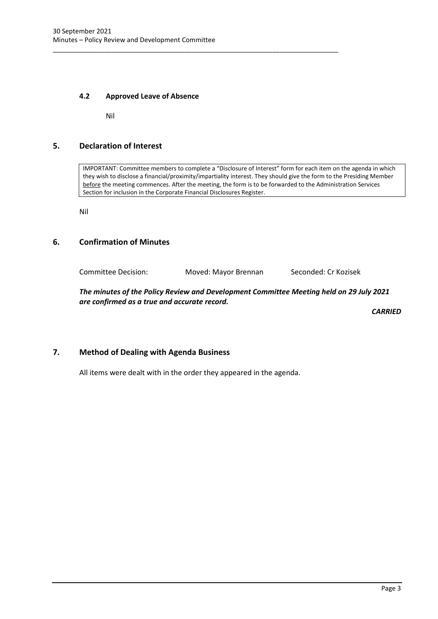\_\_\_\_\_\_\_\_\_\_\_\_\_\_\_\_\_\_\_\_\_\_\_\_\_\_\_\_\_\_\_\_\_\_\_\_\_\_\_\_\_\_\_\_\_\_\_\_\_\_\_\_\_\_\_\_\_\_\_\_\_\_\_\_\_\_\_\_\_\_\_\_\_\_\_\_\_\_

#### <span id="page-3-0"></span>**4.2 Approved Leave of Absence**

Nil

### <span id="page-3-1"></span>**5. Declaration of Interest**

IMPORTANT: Committee members to complete a "Disclosure of Interest" form for each item on the agenda in which they wish to disclose a financial/proximity/impartiality interest. They should give the form to the Presiding Member before the meeting commences. After the meeting, the form is to be forwarded to the Administration Services Section for inclusion in the Corporate Financial Disclosures Register.

Nil

#### <span id="page-3-2"></span>**6. Confirmation of Minutes**

Committee Decision: Moved: Mayor Brennan Seconded: Cr Kozisek

*The minutes of the Policy Review and Development Committee Meeting held on 29 July 2021 are confirmed as a true and accurate record.*

*CARRIED*

#### <span id="page-3-3"></span>**7. Method of Dealing with Agenda Business**

All items were dealt with in the order they appeared in the agenda.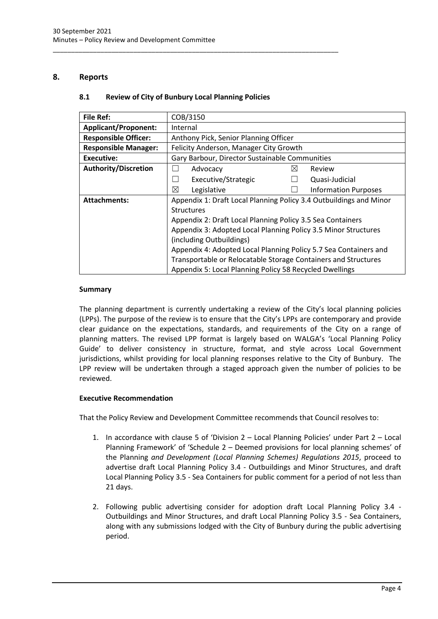### <span id="page-4-1"></span><span id="page-4-0"></span>**8. Reports**

#### **8.1 Review of City of Bunbury Local Planning Policies**

\_\_\_\_\_\_\_\_\_\_\_\_\_\_\_\_\_\_\_\_\_\_\_\_\_\_\_\_\_\_\_\_\_\_\_\_\_\_\_\_\_\_\_\_\_\_\_\_\_\_\_\_\_\_\_\_\_\_\_\_\_\_\_\_\_\_\_\_\_\_\_\_\_\_\_\_\_\_

| Internal                                                           |                                                                                                                                                                                                                                                                                                         |  |  |
|--------------------------------------------------------------------|---------------------------------------------------------------------------------------------------------------------------------------------------------------------------------------------------------------------------------------------------------------------------------------------------------|--|--|
| Anthony Pick, Senior Planning Officer                              |                                                                                                                                                                                                                                                                                                         |  |  |
| Felicity Anderson, Manager City Growth                             |                                                                                                                                                                                                                                                                                                         |  |  |
| Gary Barbour, Director Sustainable Communities                     |                                                                                                                                                                                                                                                                                                         |  |  |
| Advocacy<br>$\boxtimes$<br>Review                                  |                                                                                                                                                                                                                                                                                                         |  |  |
| Executive/Strategic<br>Quasi-Judicial                              |                                                                                                                                                                                                                                                                                                         |  |  |
| ⊠<br>Legislative<br><b>Information Purposes</b>                    |                                                                                                                                                                                                                                                                                                         |  |  |
| Appendix 1: Draft Local Planning Policy 3.4 Outbuildings and Minor |                                                                                                                                                                                                                                                                                                         |  |  |
| <b>Structures</b>                                                  |                                                                                                                                                                                                                                                                                                         |  |  |
| Appendix 2: Draft Local Planning Policy 3.5 Sea Containers         |                                                                                                                                                                                                                                                                                                         |  |  |
|                                                                    |                                                                                                                                                                                                                                                                                                         |  |  |
|                                                                    |                                                                                                                                                                                                                                                                                                         |  |  |
|                                                                    |                                                                                                                                                                                                                                                                                                         |  |  |
|                                                                    |                                                                                                                                                                                                                                                                                                         |  |  |
|                                                                    |                                                                                                                                                                                                                                                                                                         |  |  |
|                                                                    | COB/3150<br>Appendix 3: Adopted Local Planning Policy 3.5 Minor Structures<br>(including Outbuildings)<br>Appendix 4: Adopted Local Planning Policy 5.7 Sea Containers and<br>Transportable or Relocatable Storage Containers and Structures<br>Appendix 5: Local Planning Policy 58 Recycled Dwellings |  |  |

#### **Summary**

The planning department is currently undertaking a review of the City's local planning policies (LPPs). The purpose of the review is to ensure that the City's LPPs are contemporary and provide clear guidance on the expectations, standards, and requirements of the City on a range of planning matters. The revised LPP format is largely based on WALGA's 'Local Planning Policy Guide' to deliver consistency in structure, format, and style across Local Government jurisdictions, whilst providing for local planning responses relative to the City of Bunbury. The LPP review will be undertaken through a staged approach given the number of policies to be reviewed.

#### **Executive Recommendation**

That the Policy Review and Development Committee recommends that Council resolves to:

- 1. In accordance with clause 5 of 'Division 2 Local Planning Policies' under Part 2 Local Planning Framework' of 'Schedule 2 – Deemed provisions for local planning schemes' of the Planning *and Development (Local Planning Schemes) Regulations 2015*, proceed to advertise draft Local Planning Policy 3.4 - Outbuildings and Minor Structures, and draft Local Planning Policy 3.5 - Sea Containers for public comment for a period of not less than 21 days.
- 2. Following public advertising consider for adoption draft Local Planning Policy 3.4 Outbuildings and Minor Structures, and draft Local Planning Policy 3.5 - Sea Containers, along with any submissions lodged with the City of Bunbury during the public advertising period.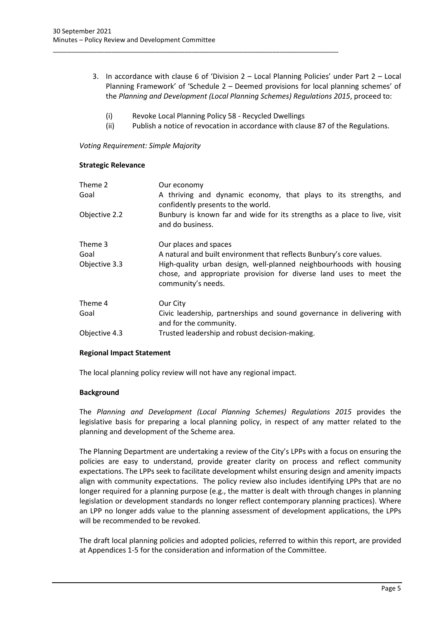- 3. In accordance with clause 6 of 'Division 2 Local Planning Policies' under Part 2 Local Planning Framework' of 'Schedule 2 – Deemed provisions for local planning schemes' of the *Planning and Development (Local Planning Schemes) Regulations 2015*, proceed to:
	- (i) Revoke Local Planning Policy 58 Recycled Dwellings

\_\_\_\_\_\_\_\_\_\_\_\_\_\_\_\_\_\_\_\_\_\_\_\_\_\_\_\_\_\_\_\_\_\_\_\_\_\_\_\_\_\_\_\_\_\_\_\_\_\_\_\_\_\_\_\_\_\_\_\_\_\_\_\_\_\_\_\_\_\_\_\_\_\_\_\_\_\_

(ii) Publish a notice of revocation in accordance with clause 87 of the Regulations.

*Voting Requirement: Simple Majority* 

#### **Strategic Relevance**

| Theme 2<br>Goal | Our economy<br>A thriving and dynamic economy, that plays to its strengths, and<br>confidently presents to the world.                                           |
|-----------------|-----------------------------------------------------------------------------------------------------------------------------------------------------------------|
| Objective 2.2   | Bunbury is known far and wide for its strengths as a place to live, visit<br>and do business.                                                                   |
| Theme 3         | Our places and spaces                                                                                                                                           |
| Goal            | A natural and built environment that reflects Bunbury's core values.                                                                                            |
| Objective 3.3   | High-quality urban design, well-planned neighbourhoods with housing<br>chose, and appropriate provision for diverse land uses to meet the<br>community's needs. |
| Theme 4         | Our City                                                                                                                                                        |
| Goal            | Civic leadership, partnerships and sound governance in delivering with<br>and for the community.                                                                |
| Objective 4.3   | Trusted leadership and robust decision-making.                                                                                                                  |

#### **Regional Impact Statement**

The local planning policy review will not have any regional impact.

#### **Background**

The *Planning and Development (Local Planning Schemes) Regulations 2015* provides the legislative basis for preparing a local planning policy, in respect of any matter related to the planning and development of the Scheme area.

The Planning Department are undertaking a review of the City's LPPs with a focus on ensuring the policies are easy to understand, provide greater clarity on process and reflect community expectations. The LPPs seek to facilitate development whilst ensuring design and amenity impacts align with community expectations. The policy review also includes identifying LPPs that are no longer required for a planning purpose (e.g., the matter is dealt with through changes in planning legislation or development standards no longer reflect contemporary planning practices). Where an LPP no longer adds value to the planning assessment of development applications, the LPPs will be recommended to be revoked.

The draft local planning policies and adopted policies, referred to within this report, are provided at Appendices 1-5 for the consideration and information of the Committee.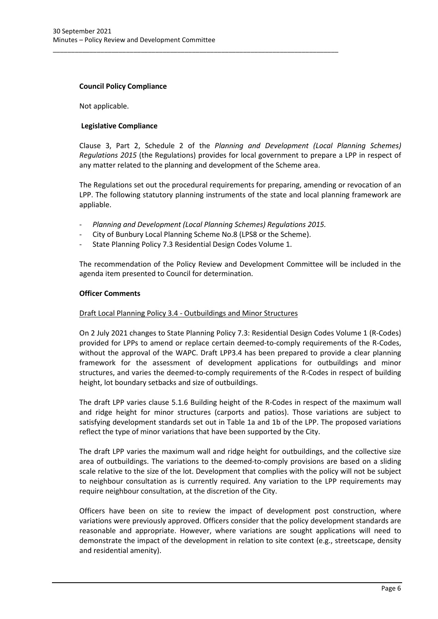#### **Council Policy Compliance**

Not applicable.

#### **Legislative Compliance**

Clause 3, Part 2, Schedule 2 of the *Planning and Development (Local Planning Schemes) Regulations 2015* (the Regulations) provides for local government to prepare a LPP in respect of any matter related to the planning and development of the Scheme area.

The Regulations set out the procedural requirements for preparing, amending or revocation of an LPP. The following statutory planning instruments of the state and local planning framework are appliable.

- *Planning and Development (Local Planning Schemes) Regulations 2015.*
- City of Bunbury Local Planning Scheme No.8 (LPS8 or the Scheme).

\_\_\_\_\_\_\_\_\_\_\_\_\_\_\_\_\_\_\_\_\_\_\_\_\_\_\_\_\_\_\_\_\_\_\_\_\_\_\_\_\_\_\_\_\_\_\_\_\_\_\_\_\_\_\_\_\_\_\_\_\_\_\_\_\_\_\_\_\_\_\_\_\_\_\_\_\_\_

- State Planning Policy 7.3 Residential Design Codes Volume 1.

The recommendation of the Policy Review and Development Committee will be included in the agenda item presented to Council for determination.

#### **Officer Comments**

#### Draft Local Planning Policy 3.4 - Outbuildings and Minor Structures

On 2 July 2021 changes to State Planning Policy 7.3: Residential Design Codes Volume 1 (R-Codes) provided for LPPs to amend or replace certain deemed-to-comply requirements of the R-Codes, without the approval of the WAPC. Draft LPP3.4 has been prepared to provide a clear planning framework for the assessment of development applications for outbuildings and minor structures, and varies the deemed-to-comply requirements of the R-Codes in respect of building height, lot boundary setbacks and size of outbuildings.

The draft LPP varies clause 5.1.6 Building height of the R-Codes in respect of the maximum wall and ridge height for minor structures (carports and patios). Those variations are subject to satisfying development standards set out in Table 1a and 1b of the LPP. The proposed variations reflect the type of minor variations that have been supported by the City.

The draft LPP varies the maximum wall and ridge height for outbuildings, and the collective size area of outbuildings. The variations to the deemed-to-comply provisions are based on a sliding scale relative to the size of the lot. Development that complies with the policy will not be subject to neighbour consultation as is currently required. Any variation to the LPP requirements may require neighbour consultation, at the discretion of the City.

Officers have been on site to review the impact of development post construction, where variations were previously approved. Officers consider that the policy development standards are reasonable and appropriate. However, where variations are sought applications will need to demonstrate the impact of the development in relation to site context (e.g., streetscape, density and residential amenity).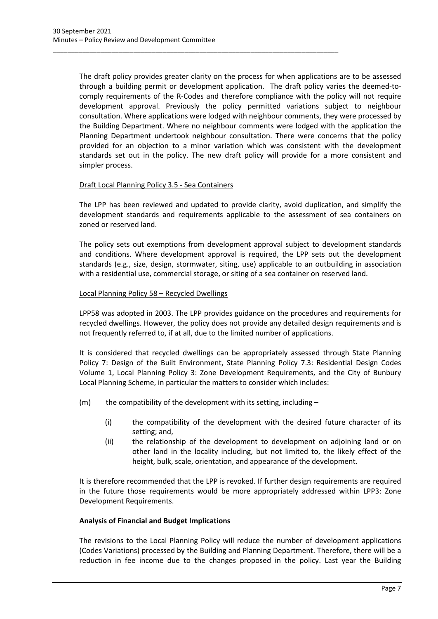The draft policy provides greater clarity on the process for when applications are to be assessed through a building permit or development application. The draft policy varies the deemed-tocomply requirements of the R-Codes and therefore compliance with the policy will not require development approval. Previously the policy permitted variations subject to neighbour consultation. Where applications were lodged with neighbour comments, they were processed by the Building Department. Where no neighbour comments were lodged with the application the Planning Department undertook neighbour consultation. There were concerns that the policy provided for an objection to a minor variation which was consistent with the development standards set out in the policy. The new draft policy will provide for a more consistent and simpler process.

\_\_\_\_\_\_\_\_\_\_\_\_\_\_\_\_\_\_\_\_\_\_\_\_\_\_\_\_\_\_\_\_\_\_\_\_\_\_\_\_\_\_\_\_\_\_\_\_\_\_\_\_\_\_\_\_\_\_\_\_\_\_\_\_\_\_\_\_\_\_\_\_\_\_\_\_\_\_

#### Draft Local Planning Policy 3.5 - Sea Containers

The LPP has been reviewed and updated to provide clarity, avoid duplication, and simplify the development standards and requirements applicable to the assessment of sea containers on zoned or reserved land.

The policy sets out exemptions from development approval subject to development standards and conditions. Where development approval is required, the LPP sets out the development standards (e.g., size, design, stormwater, siting, use) applicable to an outbuilding in association with a residential use, commercial storage, or siting of a sea container on reserved land.

#### Local Planning Policy 58 – Recycled Dwellings

LPP58 was adopted in 2003. The LPP provides guidance on the procedures and requirements for recycled dwellings. However, the policy does not provide any detailed design requirements and is not frequently referred to, if at all, due to the limited number of applications.

It is considered that recycled dwellings can be appropriately assessed through State Planning Policy 7: Design of the Built Environment, State Planning Policy 7.3: Residential Design Codes Volume 1, Local Planning Policy 3: Zone Development Requirements, and the City of Bunbury Local Planning Scheme, in particular the matters to consider which includes:

- $(m)$  the compatibility of the development with its setting, including
	- (i) the compatibility of the development with the desired future character of its setting; and,
	- (ii) the relationship of the development to development on adjoining land or on other land in the locality including, but not limited to, the likely effect of the height, bulk, scale, orientation, and appearance of the development.

It is therefore recommended that the LPP is revoked. If further design requirements are required in the future those requirements would be more appropriately addressed within LPP3: Zone Development Requirements.

#### **Analysis of Financial and Budget Implications**

The revisions to the Local Planning Policy will reduce the number of development applications (Codes Variations) processed by the Building and Planning Department. Therefore, there will be a reduction in fee income due to the changes proposed in the policy. Last year the Building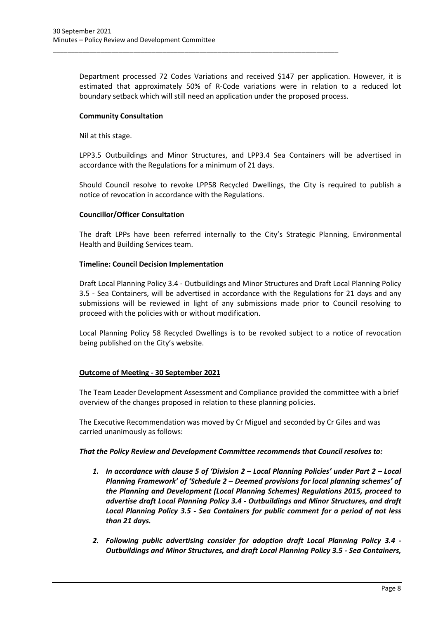Department processed 72 Codes Variations and received \$147 per application. However, it is estimated that approximately 50% of R-Code variations were in relation to a reduced lot boundary setback which will still need an application under the proposed process.

\_\_\_\_\_\_\_\_\_\_\_\_\_\_\_\_\_\_\_\_\_\_\_\_\_\_\_\_\_\_\_\_\_\_\_\_\_\_\_\_\_\_\_\_\_\_\_\_\_\_\_\_\_\_\_\_\_\_\_\_\_\_\_\_\_\_\_\_\_\_\_\_\_\_\_\_\_\_

#### **Community Consultation**

Nil at this stage.

LPP3.5 Outbuildings and Minor Structures, and LPP3.4 Sea Containers will be advertised in accordance with the Regulations for a minimum of 21 days.

Should Council resolve to revoke LPP58 Recycled Dwellings, the City is required to publish a notice of revocation in accordance with the Regulations.

#### **Councillor/Officer Consultation**

The draft LPPs have been referred internally to the City's Strategic Planning, Environmental Health and Building Services team.

#### **Timeline: Council Decision Implementation**

Draft Local Planning Policy 3.4 - Outbuildings and Minor Structures and Draft Local Planning Policy 3.5 - Sea Containers, will be advertised in accordance with the Regulations for 21 days and any submissions will be reviewed in light of any submissions made prior to Council resolving to proceed with the policies with or without modification.

Local Planning Policy 58 Recycled Dwellings is to be revoked subject to a notice of revocation being published on the City's website.

#### **Outcome of Meeting - 30 September 2021**

The Team Leader Development Assessment and Compliance provided the committee with a brief overview of the changes proposed in relation to these planning policies.

The Executive Recommendation was moved by Cr Miguel and seconded by Cr Giles and was carried unanimously as follows:

#### *That the Policy Review and Development Committee recommends that Council resolves to:*

- *1. In accordance with clause 5 of 'Division 2 – Local Planning Policies' under Part 2 – Local Planning Framework' of 'Schedule 2 – Deemed provisions for local planning schemes' of the Planning and Development (Local Planning Schemes) Regulations 2015, proceed to advertise draft Local Planning Policy 3.4 - Outbuildings and Minor Structures, and draft Local Planning Policy 3.5 - Sea Containers for public comment for a period of not less than 21 days.*
- *2. Following public advertising consider for adoption draft Local Planning Policy 3.4 - Outbuildings and Minor Structures, and draft Local Planning Policy 3.5 - Sea Containers,*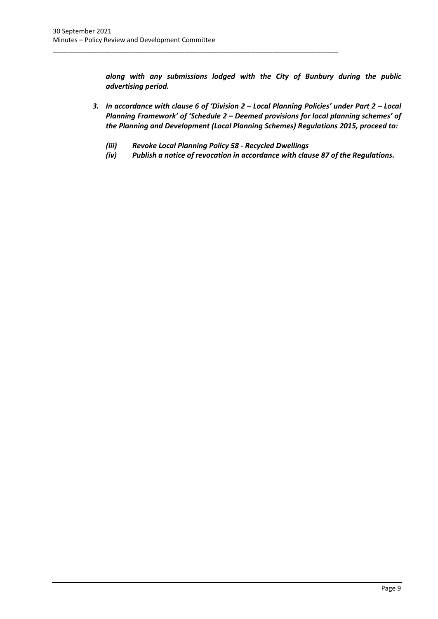*along with any submissions lodged with the City of Bunbury during the public advertising period.* 

- *3. In accordance with clause 6 of 'Division 2 – Local Planning Policies' under Part 2 – Local Planning Framework' of 'Schedule 2 – Deemed provisions for local planning schemes' of the Planning and Development (Local Planning Schemes) Regulations 2015, proceed to:*
	- *(iii) Revoke Local Planning Policy 58 - Recycled Dwellings*

\_\_\_\_\_\_\_\_\_\_\_\_\_\_\_\_\_\_\_\_\_\_\_\_\_\_\_\_\_\_\_\_\_\_\_\_\_\_\_\_\_\_\_\_\_\_\_\_\_\_\_\_\_\_\_\_\_\_\_\_\_\_\_\_\_\_\_\_\_\_\_\_\_\_\_\_\_\_

*(iv) Publish a notice of revocation in accordance with clause 87 of the Regulations.*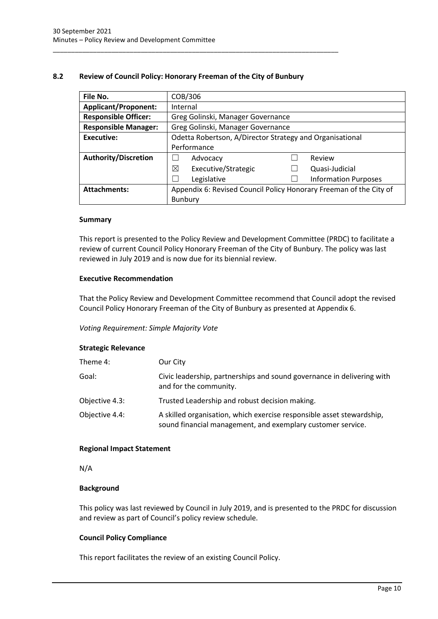#### <span id="page-10-0"></span>**8.2 Review of Council Policy: Honorary Freeman of the City of Bunbury**

\_\_\_\_\_\_\_\_\_\_\_\_\_\_\_\_\_\_\_\_\_\_\_\_\_\_\_\_\_\_\_\_\_\_\_\_\_\_\_\_\_\_\_\_\_\_\_\_\_\_\_\_\_\_\_\_\_\_\_\_\_\_\_\_\_\_\_\_\_\_\_\_\_\_\_\_\_\_

| File No.                    | COB/306                                                            |  |                             |  |
|-----------------------------|--------------------------------------------------------------------|--|-----------------------------|--|
| <b>Applicant/Proponent:</b> | Internal                                                           |  |                             |  |
| <b>Responsible Officer:</b> | Greg Golinski, Manager Governance                                  |  |                             |  |
| <b>Responsible Manager:</b> | Greg Golinski, Manager Governance                                  |  |                             |  |
| <b>Executive:</b>           | Odetta Robertson, A/Director Strategy and Organisational           |  |                             |  |
|                             | Performance                                                        |  |                             |  |
| <b>Authority/Discretion</b> | Advocacy                                                           |  | Review                      |  |
|                             | ⊠<br>Executive/Strategic                                           |  | Quasi-Judicial              |  |
|                             | Legislative                                                        |  | <b>Information Purposes</b> |  |
| <b>Attachments:</b>         | Appendix 6: Revised Council Policy Honorary Freeman of the City of |  |                             |  |
|                             | <b>Bunbury</b>                                                     |  |                             |  |

#### **Summary**

This report is presented to the Policy Review and Development Committee (PRDC) to facilitate a review of current Council Policy Honorary Freeman of the City of Bunbury. The policy was last reviewed in July 2019 and is now due for its biennial review.

#### **Executive Recommendation**

That the Policy Review and Development Committee recommend that Council adopt the revised Council Policy Honorary Freeman of the City of Bunbury as presented at Appendix 6.

#### *Voting Requirement: Simple Majority Vote*

#### **Strategic Relevance**

| Theme 4:       | Our City                                                                                                                             |
|----------------|--------------------------------------------------------------------------------------------------------------------------------------|
| Goal:          | Civic leadership, partnerships and sound governance in delivering with<br>and for the community.                                     |
| Objective 4.3: | Trusted Leadership and robust decision making.                                                                                       |
| Objective 4.4: | A skilled organisation, which exercise responsible asset stewardship,<br>sound financial management, and exemplary customer service. |

#### **Regional Impact Statement**

#### N/A

#### **Background**

This policy was last reviewed by Council in July 2019, and is presented to the PRDC for discussion and review as part of Council's policy review schedule.

#### **Council Policy Compliance**

This report facilitates the review of an existing Council Policy.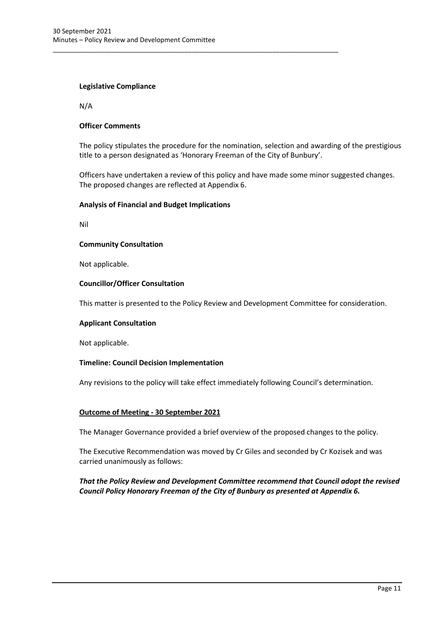\_\_\_\_\_\_\_\_\_\_\_\_\_\_\_\_\_\_\_\_\_\_\_\_\_\_\_\_\_\_\_\_\_\_\_\_\_\_\_\_\_\_\_\_\_\_\_\_\_\_\_\_\_\_\_\_\_\_\_\_\_\_\_\_\_\_\_\_\_\_\_\_\_\_\_\_\_\_

#### **Legislative Compliance**

N/A

#### **Officer Comments**

The policy stipulates the procedure for the nomination, selection and awarding of the prestigious title to a person designated as 'Honorary Freeman of the City of Bunbury'.

Officers have undertaken a review of this policy and have made some minor suggested changes. The proposed changes are reflected at Appendix 6.

#### **Analysis of Financial and Budget Implications**

Nil

#### **Community Consultation**

Not applicable.

#### **Councillor/Officer Consultation**

This matter is presented to the Policy Review and Development Committee for consideration.

#### **Applicant Consultation**

Not applicable.

#### **Timeline: Council Decision Implementation**

Any revisions to the policy will take effect immediately following Council's determination.

#### **Outcome of Meeting - 30 September 2021**

The Manager Governance provided a brief overview of the proposed changes to the policy.

The Executive Recommendation was moved by Cr Giles and seconded by Cr Kozisek and was carried unanimously as follows:

#### *That the Policy Review and Development Committee recommend that Council adopt the revised Council Policy Honorary Freeman of the City of Bunbury as presented at Appendix 6.*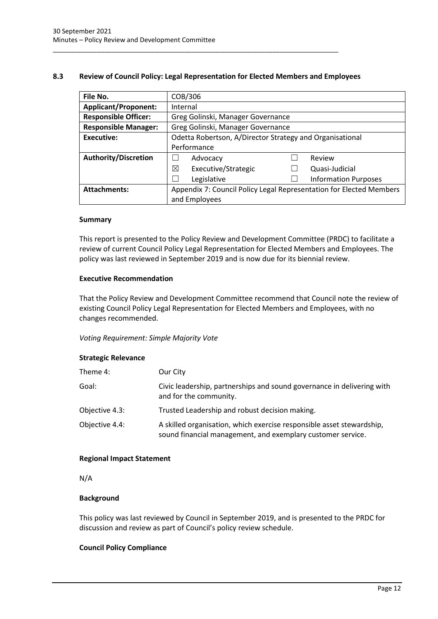#### <span id="page-12-0"></span>**8.3 Review of Council Policy: Legal Representation for Elected Members and Employees**

\_\_\_\_\_\_\_\_\_\_\_\_\_\_\_\_\_\_\_\_\_\_\_\_\_\_\_\_\_\_\_\_\_\_\_\_\_\_\_\_\_\_\_\_\_\_\_\_\_\_\_\_\_\_\_\_\_\_\_\_\_\_\_\_\_\_\_\_\_\_\_\_\_\_\_\_\_\_

| File No.                    | COB/306                                                             |  |                             |  |
|-----------------------------|---------------------------------------------------------------------|--|-----------------------------|--|
| <b>Applicant/Proponent:</b> | Internal                                                            |  |                             |  |
| <b>Responsible Officer:</b> | Greg Golinski, Manager Governance                                   |  |                             |  |
| <b>Responsible Manager:</b> | Greg Golinski, Manager Governance                                   |  |                             |  |
| <b>Executive:</b>           | Odetta Robertson, A/Director Strategy and Organisational            |  |                             |  |
|                             | Performance                                                         |  |                             |  |
| <b>Authority/Discretion</b> | Advocacy                                                            |  | Review                      |  |
|                             | ⊠<br>Executive/Strategic                                            |  | Quasi-Judicial              |  |
|                             | Legislative                                                         |  | <b>Information Purposes</b> |  |
| <b>Attachments:</b>         | Appendix 7: Council Policy Legal Representation for Elected Members |  |                             |  |
|                             | and Employees                                                       |  |                             |  |

#### **Summary**

This report is presented to the Policy Review and Development Committee (PRDC) to facilitate a review of current Council Policy Legal Representation for Elected Members and Employees. The policy was last reviewed in September 2019 and is now due for its biennial review.

#### **Executive Recommendation**

That the Policy Review and Development Committee recommend that Council note the review of existing Council Policy Legal Representation for Elected Members and Employees, with no changes recommended.

#### *Voting Requirement: Simple Majority Vote*

#### **Strategic Relevance**

| Theme 4:       | Our City                                                                                                                             |
|----------------|--------------------------------------------------------------------------------------------------------------------------------------|
| Goal:          | Civic leadership, partnerships and sound governance in delivering with<br>and for the community.                                     |
| Objective 4.3: | Trusted Leadership and robust decision making.                                                                                       |
| Objective 4.4: | A skilled organisation, which exercise responsible asset stewardship,<br>sound financial management, and exemplary customer service. |

#### **Regional Impact Statement**

N/A

#### **Background**

This policy was last reviewed by Council in September 2019, and is presented to the PRDC for discussion and review as part of Council's policy review schedule.

#### **Council Policy Compliance**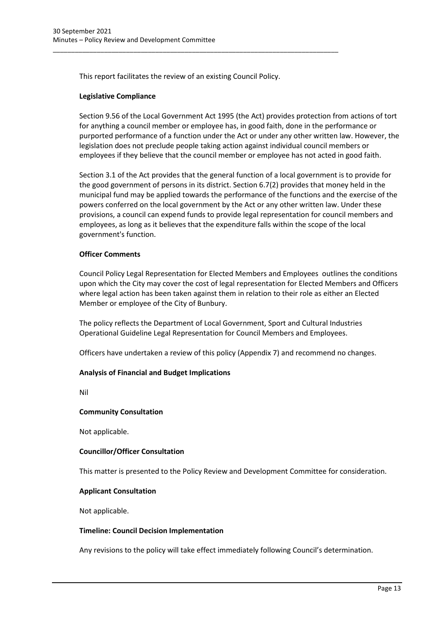This report facilitates the review of an existing Council Policy.

\_\_\_\_\_\_\_\_\_\_\_\_\_\_\_\_\_\_\_\_\_\_\_\_\_\_\_\_\_\_\_\_\_\_\_\_\_\_\_\_\_\_\_\_\_\_\_\_\_\_\_\_\_\_\_\_\_\_\_\_\_\_\_\_\_\_\_\_\_\_\_\_\_\_\_\_\_\_

#### **Legislative Compliance**

Section 9.56 of the Local Government Act 1995 (the Act) provides protection from actions of tort for anything a council member or employee has, in good faith, done in the performance or purported performance of a function under the Act or under any other written law. However, the legislation does not preclude people taking action against individual council members or employees if they believe that the council member or employee has not acted in good faith.

Section 3.1 of the Act provides that the general function of a local government is to provide for the good government of persons in its district. Section 6.7(2) provides that money held in the municipal fund may be applied towards the performance of the functions and the exercise of the powers conferred on the local government by the Act or any other written law. Under these provisions, a council can expend funds to provide legal representation for council members and employees, as long as it believes that the expenditure falls within the scope of the local government's function.

#### **Officer Comments**

Council Policy Legal Representation for Elected Members and Employees outlines the conditions upon which the City may cover the cost of legal representation for Elected Members and Officers where legal action has been taken against them in relation to their role as either an Elected Member or employee of the City of Bunbury.

The policy reflects the Department of Local Government, Sport and Cultural Industries Operational Guideline Legal Representation for Council Members and Employees.

Officers have undertaken a review of this policy (Appendix 7) and recommend no changes.

#### **Analysis of Financial and Budget Implications**

Nil

#### **Community Consultation**

Not applicable.

#### **Councillor/Officer Consultation**

This matter is presented to the Policy Review and Development Committee for consideration.

#### **Applicant Consultation**

Not applicable.

#### **Timeline: Council Decision Implementation**

Any revisions to the policy will take effect immediately following Council's determination.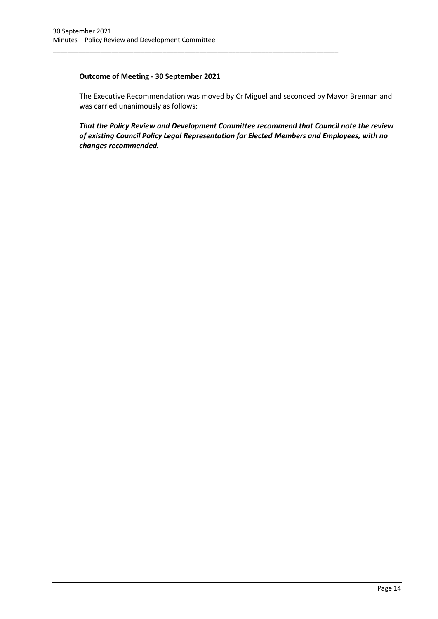## **Outcome of Meeting - 30 September 2021**

\_\_\_\_\_\_\_\_\_\_\_\_\_\_\_\_\_\_\_\_\_\_\_\_\_\_\_\_\_\_\_\_\_\_\_\_\_\_\_\_\_\_\_\_\_\_\_\_\_\_\_\_\_\_\_\_\_\_\_\_\_\_\_\_\_\_\_\_\_\_\_\_\_\_\_\_\_\_

The Executive Recommendation was moved by Cr Miguel and seconded by Mayor Brennan and was carried unanimously as follows:

*That the Policy Review and Development Committee recommend that Council note the review of existing Council Policy Legal Representation for Elected Members and Employees, with no changes recommended.*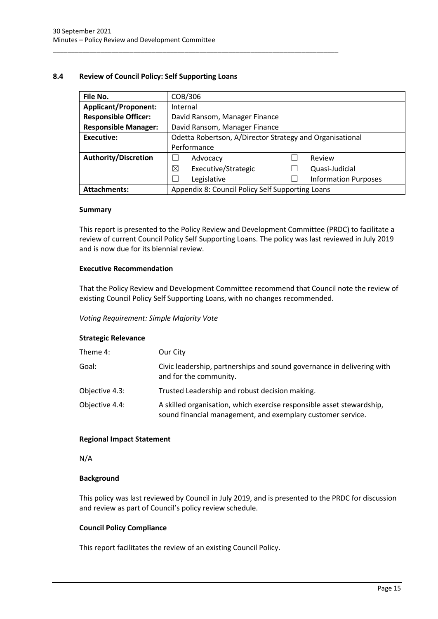#### <span id="page-15-0"></span>**8.4 Review of Council Policy: Self Supporting Loans**

\_\_\_\_\_\_\_\_\_\_\_\_\_\_\_\_\_\_\_\_\_\_\_\_\_\_\_\_\_\_\_\_\_\_\_\_\_\_\_\_\_\_\_\_\_\_\_\_\_\_\_\_\_\_\_\_\_\_\_\_\_\_\_\_\_\_\_\_\_\_\_\_\_\_\_\_\_\_

| File No.                                                                | COB/306                                                  |  |                             |
|-------------------------------------------------------------------------|----------------------------------------------------------|--|-----------------------------|
| <b>Applicant/Proponent:</b>                                             | Internal                                                 |  |                             |
| <b>Responsible Officer:</b>                                             | David Ransom, Manager Finance                            |  |                             |
| <b>Responsible Manager:</b><br>David Ransom, Manager Finance            |                                                          |  |                             |
| <b>Executive:</b>                                                       | Odetta Robertson, A/Director Strategy and Organisational |  |                             |
|                                                                         | Performance                                              |  |                             |
| <b>Authority/Discretion</b>                                             | Advocacy                                                 |  | Review                      |
|                                                                         | Executive/Strategic<br>⊠                                 |  | Quasi-Judicial              |
|                                                                         | Legislative                                              |  | <b>Information Purposes</b> |
| Appendix 8: Council Policy Self Supporting Loans<br><b>Attachments:</b> |                                                          |  |                             |

#### **Summary**

This report is presented to the Policy Review and Development Committee (PRDC) to facilitate a review of current Council Policy Self Supporting Loans. The policy was last reviewed in July 2019 and is now due for its biennial review.

#### **Executive Recommendation**

That the Policy Review and Development Committee recommend that Council note the review of existing Council Policy Self Supporting Loans, with no changes recommended.

#### *Voting Requirement: Simple Majority Vote*

#### **Strategic Relevance**

| Theme 4:       | Our City                                                                                                                             |
|----------------|--------------------------------------------------------------------------------------------------------------------------------------|
| Goal:          | Civic leadership, partnerships and sound governance in delivering with<br>and for the community.                                     |
| Objective 4.3: | Trusted Leadership and robust decision making.                                                                                       |
| Objective 4.4: | A skilled organisation, which exercise responsible asset stewardship,<br>sound financial management, and exemplary customer service. |

#### **Regional Impact Statement**

N/A

#### **Background**

This policy was last reviewed by Council in July 2019, and is presented to the PRDC for discussion and review as part of Council's policy review schedule.

#### **Council Policy Compliance**

This report facilitates the review of an existing Council Policy.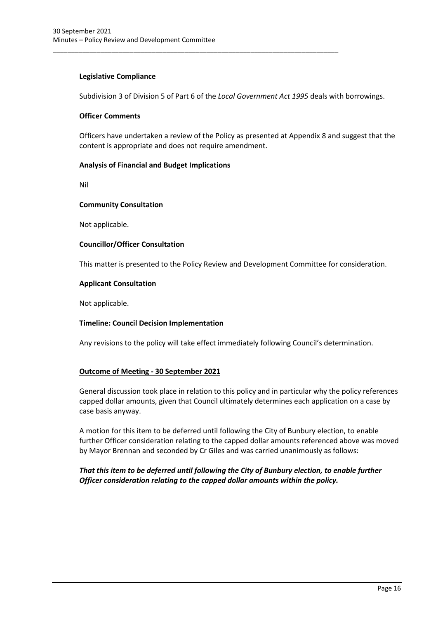#### **Legislative Compliance**

Subdivision 3 of Division 5 of Part 6 of the *Local Government Act 1995* deals with borrowings.

\_\_\_\_\_\_\_\_\_\_\_\_\_\_\_\_\_\_\_\_\_\_\_\_\_\_\_\_\_\_\_\_\_\_\_\_\_\_\_\_\_\_\_\_\_\_\_\_\_\_\_\_\_\_\_\_\_\_\_\_\_\_\_\_\_\_\_\_\_\_\_\_\_\_\_\_\_\_

#### **Officer Comments**

Officers have undertaken a review of the Policy as presented at Appendix 8 and suggest that the content is appropriate and does not require amendment.

#### **Analysis of Financial and Budget Implications**

Nil

#### **Community Consultation**

Not applicable.

#### **Councillor/Officer Consultation**

This matter is presented to the Policy Review and Development Committee for consideration.

#### **Applicant Consultation**

Not applicable.

#### **Timeline: Council Decision Implementation**

Any revisions to the policy will take effect immediately following Council's determination.

#### **Outcome of Meeting - 30 September 2021**

General discussion took place in relation to this policy and in particular why the policy references capped dollar amounts, given that Council ultimately determines each application on a case by case basis anyway.

A motion for this item to be deferred until following the City of Bunbury election, to enable further Officer consideration relating to the capped dollar amounts referenced above was moved by Mayor Brennan and seconded by Cr Giles and was carried unanimously as follows:

### *That this item to be deferred until following the City of Bunbury election, to enable further Officer consideration relating to the capped dollar amounts within the policy.*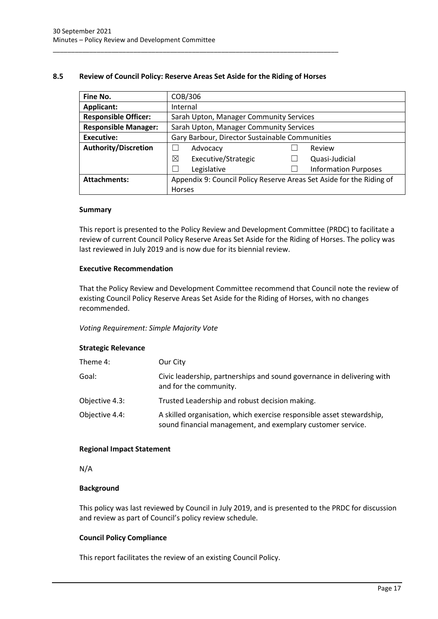#### <span id="page-17-0"></span>**8.5 Review of Council Policy: Reserve Areas Set Aside for the Riding of Horses**

\_\_\_\_\_\_\_\_\_\_\_\_\_\_\_\_\_\_\_\_\_\_\_\_\_\_\_\_\_\_\_\_\_\_\_\_\_\_\_\_\_\_\_\_\_\_\_\_\_\_\_\_\_\_\_\_\_\_\_\_\_\_\_\_\_\_\_\_\_\_\_\_\_\_\_\_\_\_

| Fine No.                    | COB/306                                                              |  |                             |
|-----------------------------|----------------------------------------------------------------------|--|-----------------------------|
| Applicant:                  | Internal                                                             |  |                             |
| <b>Responsible Officer:</b> | Sarah Upton, Manager Community Services                              |  |                             |
| <b>Responsible Manager:</b> | Sarah Upton, Manager Community Services                              |  |                             |
| <b>Executive:</b>           | Gary Barbour, Director Sustainable Communities                       |  |                             |
| <b>Authority/Discretion</b> | Advocacy                                                             |  | Review                      |
|                             | ⊠<br>Executive/Strategic                                             |  | Quasi-Judicial              |
|                             | Legislative                                                          |  | <b>Information Purposes</b> |
| Attachments:                | Appendix 9: Council Policy Reserve Areas Set Aside for the Riding of |  |                             |
|                             | <b>Horses</b>                                                        |  |                             |

#### **Summary**

This report is presented to the Policy Review and Development Committee (PRDC) to facilitate a review of current Council Policy Reserve Areas Set Aside for the Riding of Horses. The policy was last reviewed in July 2019 and is now due for its biennial review.

#### **Executive Recommendation**

That the Policy Review and Development Committee recommend that Council note the review of existing Council Policy Reserve Areas Set Aside for the Riding of Horses, with no changes recommended.

#### *Voting Requirement: Simple Majority Vote*

#### **Strategic Relevance**

| Theme 4:       | Our City                                                                                                                             |
|----------------|--------------------------------------------------------------------------------------------------------------------------------------|
| Goal:          | Civic leadership, partnerships and sound governance in delivering with<br>and for the community.                                     |
| Objective 4.3: | Trusted Leadership and robust decision making.                                                                                       |
| Objective 4.4: | A skilled organisation, which exercise responsible asset stewardship,<br>sound financial management, and exemplary customer service. |

#### **Regional Impact Statement**

#### N/A

#### **Background**

This policy was last reviewed by Council in July 2019, and is presented to the PRDC for discussion and review as part of Council's policy review schedule.

#### **Council Policy Compliance**

This report facilitates the review of an existing Council Policy.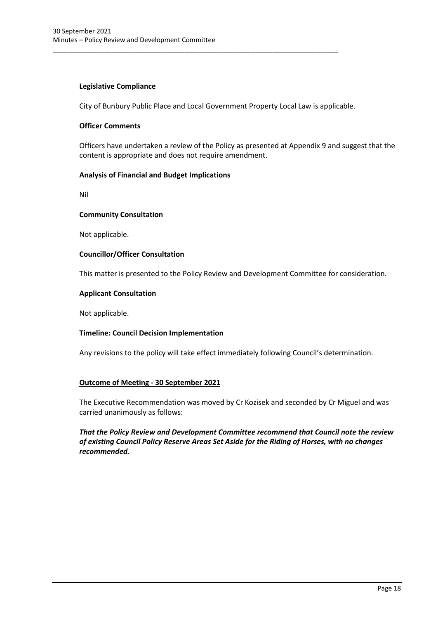#### **Legislative Compliance**

City of Bunbury Public Place and Local Government Property Local Law is applicable.

\_\_\_\_\_\_\_\_\_\_\_\_\_\_\_\_\_\_\_\_\_\_\_\_\_\_\_\_\_\_\_\_\_\_\_\_\_\_\_\_\_\_\_\_\_\_\_\_\_\_\_\_\_\_\_\_\_\_\_\_\_\_\_\_\_\_\_\_\_\_\_\_\_\_\_\_\_\_

#### **Officer Comments**

Officers have undertaken a review of the Policy as presented at Appendix 9 and suggest that the content is appropriate and does not require amendment.

#### **Analysis of Financial and Budget Implications**

Nil

#### **Community Consultation**

Not applicable.

#### **Councillor/Officer Consultation**

This matter is presented to the Policy Review and Development Committee for consideration.

#### **Applicant Consultation**

Not applicable.

#### **Timeline: Council Decision Implementation**

Any revisions to the policy will take effect immediately following Council's determination.

#### **Outcome of Meeting - 30 September 2021**

The Executive Recommendation was moved by Cr Kozisek and seconded by Cr Miguel and was carried unanimously as follows:

#### *That the Policy Review and Development Committee recommend that Council note the review of existing Council Policy Reserve Areas Set Aside for the Riding of Horses, with no changes recommended.*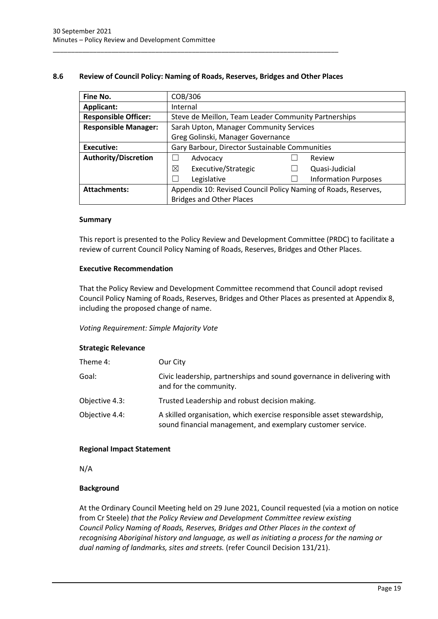#### <span id="page-19-0"></span>**8.6 Review of Council Policy: Naming of Roads, Reserves, Bridges and Other Places**

\_\_\_\_\_\_\_\_\_\_\_\_\_\_\_\_\_\_\_\_\_\_\_\_\_\_\_\_\_\_\_\_\_\_\_\_\_\_\_\_\_\_\_\_\_\_\_\_\_\_\_\_\_\_\_\_\_\_\_\_\_\_\_\_\_\_\_\_\_\_\_\_\_\_\_\_\_\_

| Fine No.                    | COB/306                                                        |  |                             |
|-----------------------------|----------------------------------------------------------------|--|-----------------------------|
| <b>Applicant:</b>           | Internal                                                       |  |                             |
| <b>Responsible Officer:</b> | Steve de Meillon, Team Leader Community Partnerships           |  |                             |
| <b>Responsible Manager:</b> | Sarah Upton, Manager Community Services                        |  |                             |
|                             | Greg Golinski, Manager Governance                              |  |                             |
| Executive:                  | Gary Barbour, Director Sustainable Communities                 |  |                             |
| <b>Authority/Discretion</b> | Advocacy                                                       |  | Review                      |
|                             | ⊠<br>Executive/Strategic                                       |  | Quasi-Judicial              |
|                             | Legislative                                                    |  | <b>Information Purposes</b> |
| <b>Attachments:</b>         | Appendix 10: Revised Council Policy Naming of Roads, Reserves, |  |                             |
|                             | <b>Bridges and Other Places</b>                                |  |                             |

#### **Summary**

This report is presented to the Policy Review and Development Committee (PRDC) to facilitate a review of current Council Policy Naming of Roads, Reserves, Bridges and Other Places.

#### **Executive Recommendation**

That the Policy Review and Development Committee recommend that Council adopt revised Council Policy Naming of Roads, Reserves, Bridges and Other Places as presented at Appendix 8, including the proposed change of name.

#### *Voting Requirement: Simple Majority Vote*

#### **Strategic Relevance**

| Theme 4:       | Our City                                                                                                                             |
|----------------|--------------------------------------------------------------------------------------------------------------------------------------|
| Goal:          | Civic leadership, partnerships and sound governance in delivering with<br>and for the community.                                     |
| Objective 4.3: | Trusted Leadership and robust decision making.                                                                                       |
| Objective 4.4: | A skilled organisation, which exercise responsible asset stewardship,<br>sound financial management, and exemplary customer service. |

#### **Regional Impact Statement**

N/A

#### **Background**

At the Ordinary Council Meeting held on 29 June 2021, Council requested (via a motion on notice from Cr Steele) *that the Policy Review and Development Committee review existing Council Policy Naming of Roads, Reserves, Bridges and Other Places in the context of recognising Aboriginal history and language, as well as initiating a process for the naming or dual naming of landmarks, sites and streets.* (refer Council Decision 131/21).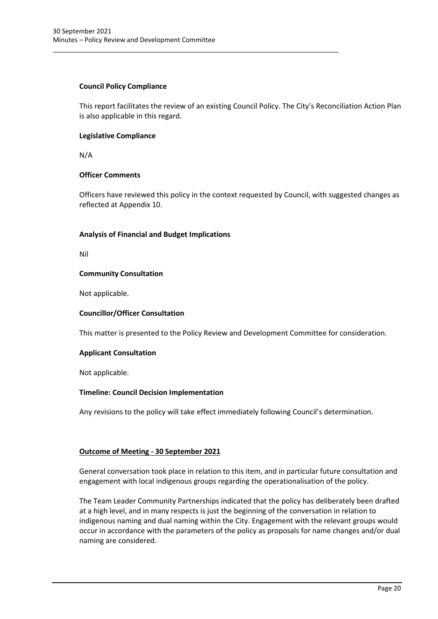#### **Council Policy Compliance**

This report facilitates the review of an existing Council Policy. The City's Reconciliation Action Plan is also applicable in this regard.

\_\_\_\_\_\_\_\_\_\_\_\_\_\_\_\_\_\_\_\_\_\_\_\_\_\_\_\_\_\_\_\_\_\_\_\_\_\_\_\_\_\_\_\_\_\_\_\_\_\_\_\_\_\_\_\_\_\_\_\_\_\_\_\_\_\_\_\_\_\_\_\_\_\_\_\_\_\_

#### **Legislative Compliance**

N/A

#### **Officer Comments**

Officers have reviewed this policy in the context requested by Council, with suggested changes as reflected at Appendix 10.

#### **Analysis of Financial and Budget Implications**

Nil

#### **Community Consultation**

Not applicable.

#### **Councillor/Officer Consultation**

This matter is presented to the Policy Review and Development Committee for consideration.

#### **Applicant Consultation**

Not applicable.

#### **Timeline: Council Decision Implementation**

Any revisions to the policy will take effect immediately following Council's determination.

#### **Outcome of Meeting - 30 September 2021**

General conversation took place in relation to this item, and in particular future consultation and engagement with local indigenous groups regarding the operationalisation of the policy.

The Team Leader Community Partnerships indicated that the policy has deliberately been drafted at a high level, and in many respects is just the beginning of the conversation in relation to indigenous naming and dual naming within the City. Engagement with the relevant groups would occur in accordance with the parameters of the policy as proposals for name changes and/or dual naming are considered.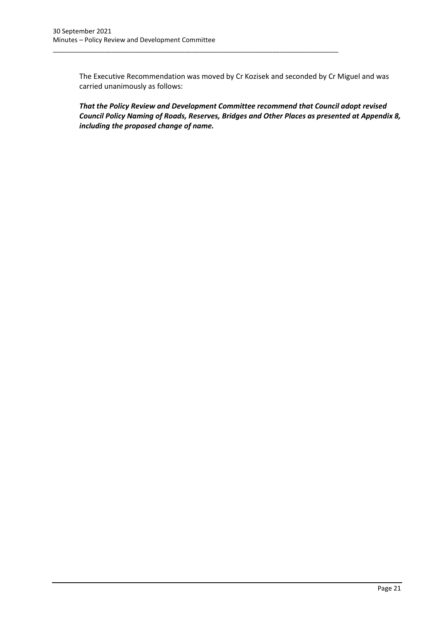The Executive Recommendation was moved by Cr Kozisek and seconded by Cr Miguel and was carried unanimously as follows:

\_\_\_\_\_\_\_\_\_\_\_\_\_\_\_\_\_\_\_\_\_\_\_\_\_\_\_\_\_\_\_\_\_\_\_\_\_\_\_\_\_\_\_\_\_\_\_\_\_\_\_\_\_\_\_\_\_\_\_\_\_\_\_\_\_\_\_\_\_\_\_\_\_\_\_\_\_\_

*That the Policy Review and Development Committee recommend that Council adopt revised Council Policy Naming of Roads, Reserves, Bridges and Other Places as presented at Appendix 8, including the proposed change of name.*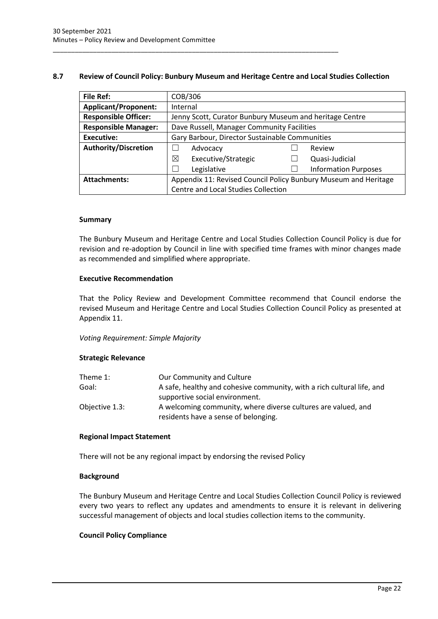#### <span id="page-22-0"></span>**8.7 Review of Council Policy: Bunbury Museum and Heritage Centre and Local Studies Collection**

\_\_\_\_\_\_\_\_\_\_\_\_\_\_\_\_\_\_\_\_\_\_\_\_\_\_\_\_\_\_\_\_\_\_\_\_\_\_\_\_\_\_\_\_\_\_\_\_\_\_\_\_\_\_\_\_\_\_\_\_\_\_\_\_\_\_\_\_\_\_\_\_\_\_\_\_\_\_

| <b>File Ref:</b>            | COB/306                                                         |  |                             |
|-----------------------------|-----------------------------------------------------------------|--|-----------------------------|
| <b>Applicant/Proponent:</b> | Internal                                                        |  |                             |
| <b>Responsible Officer:</b> | Jenny Scott, Curator Bunbury Museum and heritage Centre         |  |                             |
| <b>Responsible Manager:</b> | Dave Russell, Manager Community Facilities                      |  |                             |
| Executive:                  | Gary Barbour, Director Sustainable Communities                  |  |                             |
| <b>Authority/Discretion</b> | Advocacy                                                        |  | Review                      |
|                             | ⊠<br>Executive/Strategic                                        |  | Quasi-Judicial              |
|                             | Legislative                                                     |  | <b>Information Purposes</b> |
| <b>Attachments:</b>         | Appendix 11: Revised Council Policy Bunbury Museum and Heritage |  |                             |
|                             | Centre and Local Studies Collection                             |  |                             |

#### **Summary**

The Bunbury Museum and Heritage Centre and Local Studies Collection Council Policy is due for revision and re-adoption by Council in line with specified time frames with minor changes made as recommended and simplified where appropriate.

#### **Executive Recommendation**

That the Policy Review and Development Committee recommend that Council endorse the revised Museum and Heritage Centre and Local Studies Collection Council Policy as presented at Appendix 11.

*Voting Requirement: Simple Majority*

#### **Strategic Relevance**

| Theme $1$ :    | Our Community and Culture                                              |
|----------------|------------------------------------------------------------------------|
| Goal:          | A safe, healthy and cohesive community, with a rich cultural life, and |
|                | supportive social environment.                                         |
| Objective 1.3: | A welcoming community, where diverse cultures are valued, and          |
|                | residents have a sense of belonging.                                   |

#### **Regional Impact Statement**

There will not be any regional impact by endorsing the revised Policy

#### **Background**

The Bunbury Museum and Heritage Centre and Local Studies Collection Council Policy is reviewed every two years to reflect any updates and amendments to ensure it is relevant in delivering successful management of objects and local studies collection items to the community.

#### **Council Policy Compliance**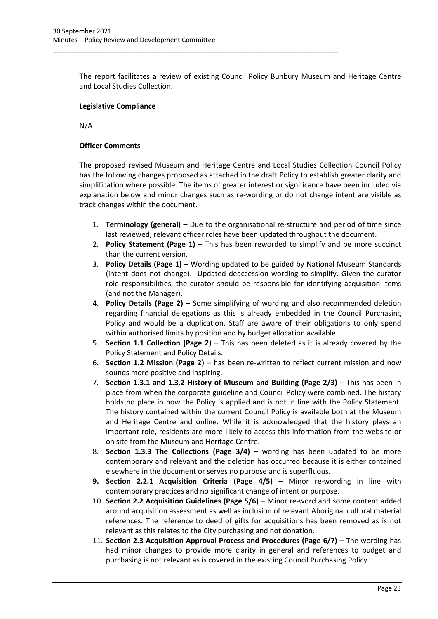The report facilitates a review of existing Council Policy Bunbury Museum and Heritage Centre and Local Studies Collection.

\_\_\_\_\_\_\_\_\_\_\_\_\_\_\_\_\_\_\_\_\_\_\_\_\_\_\_\_\_\_\_\_\_\_\_\_\_\_\_\_\_\_\_\_\_\_\_\_\_\_\_\_\_\_\_\_\_\_\_\_\_\_\_\_\_\_\_\_\_\_\_\_\_\_\_\_\_\_

#### **Legislative Compliance**

N/A

#### **Officer Comments**

The proposed revised Museum and Heritage Centre and Local Studies Collection Council Policy has the following changes proposed as attached in the draft Policy to establish greater clarity and simplification where possible. The items of greater interest or significance have been included via explanation below and minor changes such as re-wording or do not change intent are visible as track changes within the document.

- 1. **Terminology (general) –** Due to the organisational re-structure and period of time since last reviewed, relevant officer roles have been updated throughout the document.
- 2. **Policy Statement (Page 1)** This has been reworded to simplify and be more succinct than the current version.
- 3. **Policy Details (Page 1)**  Wording updated to be guided by National Museum Standards (intent does not change). Updated deaccession wording to simplify. Given the curator role responsibilities, the curator should be responsible for identifying acquisition items (and not the Manager).
- 4. **Policy Details (Page 2)**  Some simplifying of wording and also recommended deletion regarding financial delegations as this is already embedded in the Council Purchasing Policy and would be a duplication. Staff are aware of their obligations to only spend within authorised limits by position and by budget allocation available.
- 5. **Section 1.1 Collection (Page 2)** This has been deleted as it is already covered by the Policy Statement and Policy Details.
- 6. **Section 1.2 Mission (Page 2)** has been re-written to reflect current mission and now sounds more positive and inspiring.
- 7. **Section 1.3.1 and 1.3.2 History of Museum and Building (Page 2/3)** This has been in place from when the corporate guideline and Council Policy were combined. The history holds no place in how the Policy is applied and is not in line with the Policy Statement. The history contained within the current Council Policy is available both at the Museum and Heritage Centre and online. While it is acknowledged that the history plays an important role, residents are more likely to access this information from the website or on site from the Museum and Heritage Centre.
- 8. **Section 1.3.3 The Collections (Page 3/4)** wording has been updated to be more contemporary and relevant and the deletion has occurred because it is either contained elsewhere in the document or serves no purpose and is superfluous.
- **9. Section 2.2.1 Acquisition Criteria (Page 4/5) –** Minor re-wording in line with contemporary practices and no significant change of intent or purpose.
- 10. **Section 2.2 Acquisition Guidelines (Page 5/6) –** Minor re-word and some content added around acquisition assessment as well as inclusion of relevant Aboriginal cultural material references. The reference to deed of gifts for acquisitions has been removed as is not relevant as this relates to the City purchasing and not donation.
- 11. **Section 2.3 Acquisition Approval Process and Procedures (Page 6/7) –** The wording has had minor changes to provide more clarity in general and references to budget and purchasing is not relevant as is covered in the existing Council Purchasing Policy.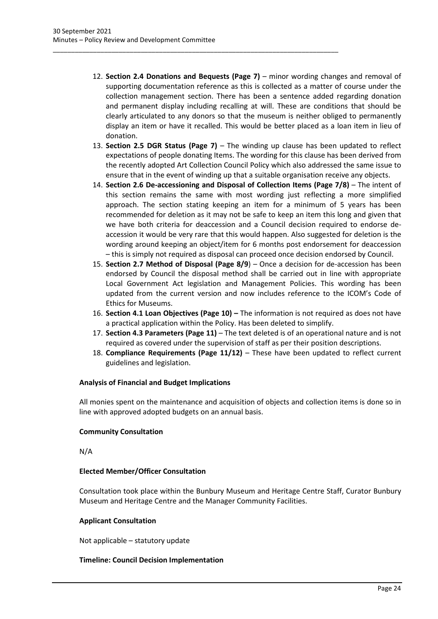12. **Section 2.4 Donations and Bequests (Page 7)** – minor wording changes and removal of supporting documentation reference as this is collected as a matter of course under the collection management section. There has been a sentence added regarding donation and permanent display including recalling at will. These are conditions that should be clearly articulated to any donors so that the museum is neither obliged to permanently display an item or have it recalled. This would be better placed as a loan item in lieu of donation.

\_\_\_\_\_\_\_\_\_\_\_\_\_\_\_\_\_\_\_\_\_\_\_\_\_\_\_\_\_\_\_\_\_\_\_\_\_\_\_\_\_\_\_\_\_\_\_\_\_\_\_\_\_\_\_\_\_\_\_\_\_\_\_\_\_\_\_\_\_\_\_\_\_\_\_\_\_\_

- 13. **Section 2.5 DGR Status (Page 7)** The winding up clause has been updated to reflect expectations of people donating Items. The wording for this clause has been derived from the recently adopted Art Collection Council Policy which also addressed the same issue to ensure that in the event of winding up that a suitable organisation receive any objects.
- 14. **Section 2.6 De-accessioning and Disposal of Collection Items (Page 7/8)** The intent of this section remains the same with most wording just reflecting a more simplified approach. The section stating keeping an item for a minimum of 5 years has been recommended for deletion as it may not be safe to keep an item this long and given that we have both criteria for deaccession and a Council decision required to endorse deaccession it would be very rare that this would happen. Also suggested for deletion is the wording around keeping an object/item for 6 months post endorsement for deaccession – this is simply not required as disposal can proceed once decision endorsed by Council.
- 15. **Section 2.7 Method of Disposal (Page 8/9**) Once a decision for de-accession has been endorsed by Council the disposal method shall be carried out in line with appropriate Local Government Act legislation and Management Policies. This wording has been updated from the current version and now includes reference to the ICOM's Code of Ethics for Museums.
- 16. **Section 4.1 Loan Objectives (Page 10) –** The information is not required as does not have a practical application within the Policy. Has been deleted to simplify.
- 17. **Section 4.3 Parameters (Page 11)** The text deleted is of an operational nature and is not required as covered under the supervision of staff as per their position descriptions.
- 18. **Compliance Requirements (Page 11/12)** These have been updated to reflect current guidelines and legislation.

#### **Analysis of Financial and Budget Implications**

All monies spent on the maintenance and acquisition of objects and collection items is done so in line with approved adopted budgets on an annual basis.

#### **Community Consultation**

N/A

#### **Elected Member/Officer Consultation**

Consultation took place within the Bunbury Museum and Heritage Centre Staff, Curator Bunbury Museum and Heritage Centre and the Manager Community Facilities.

#### **Applicant Consultation**

Not applicable – statutory update

#### **Timeline: Council Decision Implementation**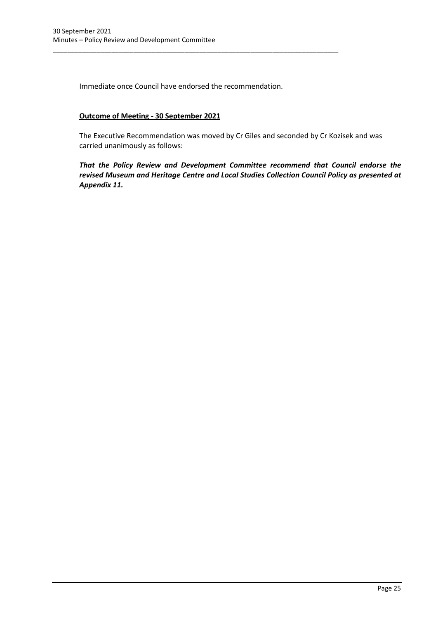Immediate once Council have endorsed the recommendation.

\_\_\_\_\_\_\_\_\_\_\_\_\_\_\_\_\_\_\_\_\_\_\_\_\_\_\_\_\_\_\_\_\_\_\_\_\_\_\_\_\_\_\_\_\_\_\_\_\_\_\_\_\_\_\_\_\_\_\_\_\_\_\_\_\_\_\_\_\_\_\_\_\_\_\_\_\_\_

#### **Outcome of Meeting - 30 September 2021**

The Executive Recommendation was moved by Cr Giles and seconded by Cr Kozisek and was carried unanimously as follows:

*That the Policy Review and Development Committee recommend that Council endorse the revised Museum and Heritage Centre and Local Studies Collection Council Policy as presented at Appendix 11.*